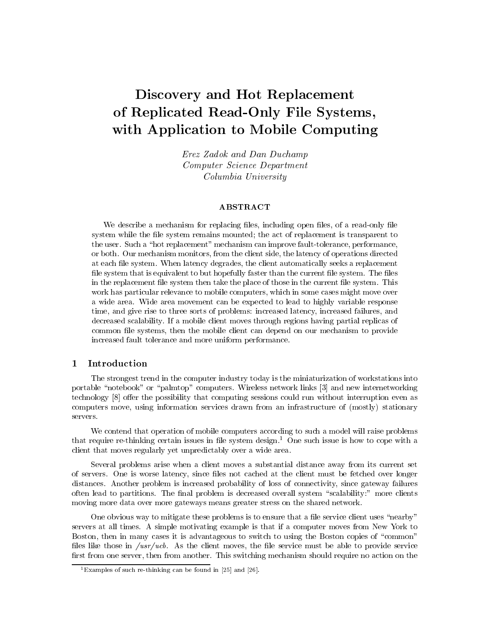# Discovery and Hot Replacement of Replicated Read-Only File Systems, with Application to Mobile Computing

Erez Zadok and Dan Duchamp Computer Science Department Columbia University

We describe a mechanism for replacing files, including open files, of a read-only file system while the file system remains mounted; the act of replacement is transparent to the user. Such a "hot replacement" mechanism can improve fault-tolerance, performance, or both. Our mechanism monitors, from the client side, the latency of operations directed at each file system. When latency degrades, the client automatically seeks a replacement file system that is equivalent to but hopefully faster than the current file system. The files in the replacement file system then take the place of those in the current file system. This work has particular relevance to mobile computers, which in some cases might move over a wide area. Wide area movement can be expected to lead to highly variable response time, and give rise to three sorts of problems: increased latency, increased failures, and decreased scalability. If a mobile client moves through regions having partial replicas of common file systems, then the mobile client can depend on our mechanism to provide increased fault tolerance and more uniform performance.

### 1 Introduction

The strongest trend in the computer industry today is the miniaturization of workstations into portable "notebook" or "palmtop" computers. Wireless network links [3] and new internetworking technology [8] offer the possibility that computing sessions could run without interruption even as computers move, using information services drawn from an infrastructure of (mostly) stationary servers.

We contend that operation of mobile computers according to such a model will raise problems that require re-thinking certain issues in file system design.<sup>1</sup> One such issue is how to cope with a client that moves regularly yet unpredictably over a wide area.

Several problems arise when a client moves a substantial distance away from its current set of servers. One is worse latency, since les not cached at the client must be fetched over longer distances. Another problem is increased probability of loss of connectivity, since gateway failures often lead to partitions. The final problem is decreased overall system "scalability:" more clients moving more data over more gateways means greater stress on the shared network.

One obvious way to mitigate these problems is to ensure that a file service client uses "nearby" servers at all times. A simple motivating example is that if a computer moves from New York to Boston, then in many cases it is advantageous to switch to using the Boston copies of "common" files like those in  $\sqrt{usr/ucb}$ . As the client moves, the file service must be able to provide service first from one server, then from another. This switching mechanism should require no action on the

 $1$  Examples of such re-thinking can be found in [25] and [26].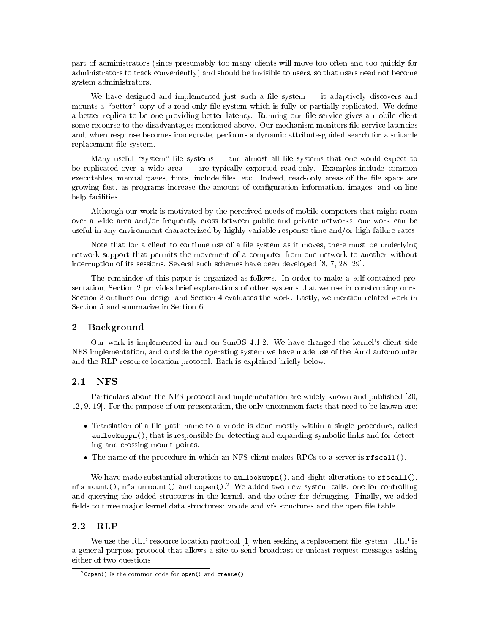part of administrators (since presumably too many clients will move too often and too quickly for administrators to track conveniently) and should be invisible to users, so that users need not become system administrators.

We have designed and implemented just such a file system  $-$  it adaptively discovers and mounts a "better" copy of a read-only file system which is fully or partially replicated. We define a better replica to be one providing better latency. Running our file service gives a mobile client some recourse to the disadvantages mentioned above. Our mechanism monitors file service latencies and, when response becomes inadequate, performs a dynamic attribute-guided search for a suitable replacement le system.

Many useful "system" file systems  $-$  and almost all file systems that one would expect to be replicated over a wide area — are typically exported read-only. Examples include common executables, manual pages, fonts, include files, etc. Indeed, read-only areas of the file space are growing fast, as programs increase the amount of conguration information, images, and on-line help facilities.

Although our work is motivated by the perceived needs of mobile computers that might roam over a wide area and/or frequently cross between public and private networks, our work can be useful in any environment characterized by highly variable response time and/or high failure rates.

Note that for a client to continue use of a file system as it moves, there must be underlying network support that permits the movement of a computer from one network to another without interruption of its sessions. Several such schemes have been developed [8, 7, 28, 29].

The remainder of this paper is organized as follows. In order to make a self-contained presentation, Section 2 provides brief explanations of other systems that we use in constructing ours. Section 3 outlines our design and Section 4 evaluates the work. Lastly, we mention related work in Section 5 and summarize in Section 6.

#### $\overline{2}$ **Background**

Our work is implemented in and on SunOS 4.1.2. We have changed the kernel's client-side NFS implementation, and outside the operating system we have made use of the Amd automounter and the RLP resource location protocol. Each is explained briefly below.

Particulars about the NFS protocol and implementation are widely known and published [20, 12, 9, 19]. For the purpose of our presentation, the only uncommon facts that need to be known are:

- Translation of a le path name to a vnode is done mostly within a single procedure, called au lookuppn(), that is responsible for detecting and expanding symbolic links and for detecting and crossing mount points.
- The name of the procedure in which an NFS client makes RPCs to a server is rfscall().

We have made substantial alterations to  $au\_lookup()$ , and slight alterations to  $rfscal()$ . nfs\_mount(), nfs\_unmount() and copen().<sup>2</sup> We added two new system calls: one for controlling and querying the added structures in the kernel, and the other for debugging. Finally, we added fields to three major kernel data structures: vnode and vfs structures and the open file table.

### 2.2

We use the RLP resource location protocol [1] when seeking a replacement file system. RLP is a general-purpose protocol that allows a site to send broadcast or unicast request messages asking either of two questions:

 $^{2}$ Copen() is the common code for open() and create().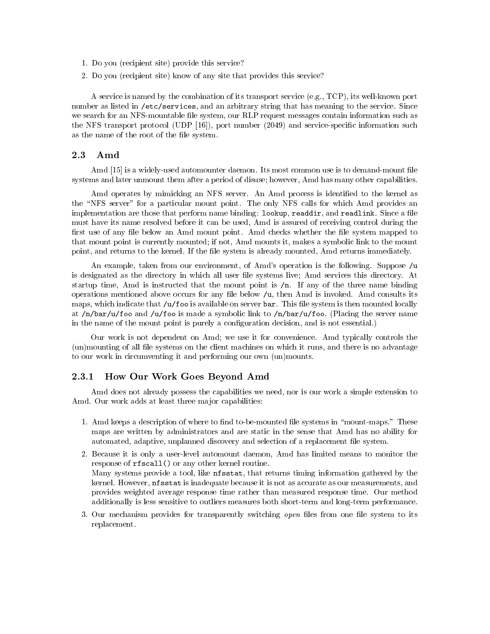- 1. Do you (recipient site) provide this service?
- 2. Do you (recipient site) know of any site that provides this service?

A service is named by the combination of its transport service (e.g., TCP), its well-known port number as listed in /etc/services, and an arbitrary string that has meaning to the service. Since we search for an NFS-mountable file system, our RLP request messages contain information such as the NFS transport protocol (UDP [16]), port number (2049) and service-specic information such as the name of the root of the file system.

#### 2.3 Amd

Amd [15] is a widely-used automounter daemon. Its most common use is to demand-mount file systems and later unmount them after a period of disuse; however, Amd has many other capabilities.

Amd operates by mimicking an NFS server. An Amd process is identied to the kernel as the "NFS server" for a particular mount point. The only NFS calls for which Amd provides an implementation are those that perform name binding: lookup, readdir, and readlink. Since a file must have its name resolved before it can be used, Amd is assured of receiving control during the first use of any file below an Amd mount point. Amd checks whether the file system mapped to that mount point is currently mounted; if not, Amd mounts it, makes a symbolic link to the mount point, and returns to the kernel. If the file system is already mounted, Amd returns immediately.

An example, taken from our environment, of Amd's operation is the following. Suppose  $/u$ is designated as the directory in which all user file systems live; Amd services this directory. At startup time, Amd is instructed that the mount point is  $/n$ . If any of the three name binding operations mentioned above occurs for any le below /u, then Amd isinvoked. Amd consults its maps, which indicate that  $/u$  foo is available on server bar. This file system is then mounted locally at /n/bar/u/foo and /u/foo is made a symbolic link to /n/bar/u/foo. (Placing the server name in the name of the mount point is purely a configuration decision, and is not essential.)

Our work is not dependent on Amd; we use it for convenience. Amd typically controls the (un)mounting of all le systems on the client machines on which it runs, and there is no advantage to our work in circumventing it and performing our own (un)mounts.

### 2.3.1 How Our Work Goes Beyond Amd

Amd does not already possess the capabilities we need, nor is our work a simple extension to Amd. Our work adds at least three major capabilities:

- 1. Amd keeps a description of where to find to-be-mounted file systems in "mount-maps." These maps are written by administrators and are static in the sense that Amd has no ability for automated, adaptive, unplanned discovery and selection of a replacement file system.
- 2. Because it is only a user-level automount daemon, Amd has limited means to monitor the response of rfscall() or any other kernel routine. Many systems provide a tool, like nfsstat, that returns timing information gathered by the kernel. However, nfsstat is inadequate because it is not as accurate as our measurements, and provides weighted average response time rather than measured response time. Our method additionally is less sensitive to outliers measures both short-term and long-term performance.
- 3. Our mechanism provides for transparently switching *open* files from one file system to its replacement.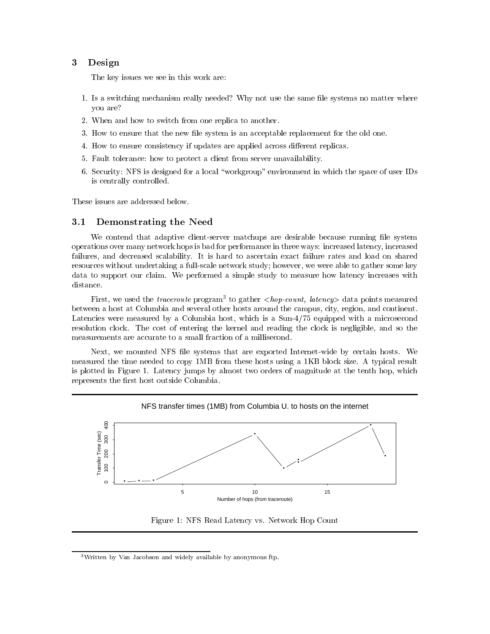## 3 Design

The key issues we see in this work are:

- 1. Is a switching mechanism really needed? Why not use the same file systems no matter where you are?
- 2. When and how to switch from one replica to another.
- 3. How to ensure that the new file system is an acceptable replacement for the old one.
- 4. How to ensure consistency if updates are applied across different replicas.
- 5. Fault tolerance: how to protect a client from server unavailability.
- 6. Security: NFS is designed for a local \workgroup" environment in which the space of user IDs is centrally controlled.

These issues are addressed below.

#### $3.1$ Demonstrating the Need

We contend that adaptive client-server matchups are desirable because running file system operations over many network hops is bad for performance in three ways: increased latency, increased failures, and decreased scalability. It is hard to ascertain exact failure rates and load on shared resources without undertaking a full-scale network study; however, we were able to gather some key data to support our claim. We performed a simple study to measure how latency increases with distance.

First, we used the *traceroute* program<sup>-</sup> to gather  $<$ *nop-count, latency>* data points measured between a host at Columbia and several other hosts around the campus, city, region, and continent. Latencies were measured by a Columbia host, which is a Sun-4/75 equipped with a microsecond resolution clock. The cost of entering the kernel and reading the clock is negligible, and so the measurements are accurate to a small fraction of a millisecond.

Next, we mounted NFS file systems that are exported Internet-wide by certain hosts. We measured the time needed to copy 1MB from these hosts using a 1KB block size. A typical result is plotted in Figure 1. Latency jumps by almost two orders of magnitude at the tenth hop, which represents the first host outside Columbia.



Figure 1: NFS Read Latency vs. Network Hop Count

<sup>3</sup>Written by Van Jacobson and widely available by anonymous ftp.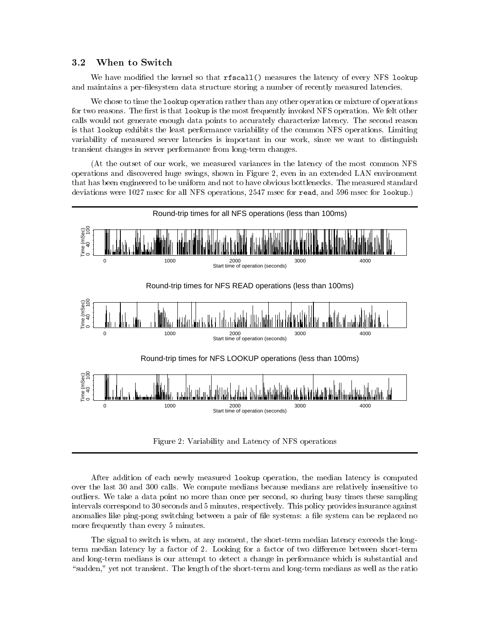### 3.2 When to Switch

We have modified the kernel so that rfscall () measures the latency of every NFS lookup and maintains a per-lesystem data structure storing a number of recently measured latencies.

We chose to time the lookup operation rather than any other operation or mixture of operations for two reasons. The first is that lookup is the most frequently invoked NFS operation. We felt other calls would not generate enough data points to accurately characterize latency. The second reason is that lookup exhibits the least performance variability of the common NFS operations. Limiting variability of measured server latencies is important in our work, since we want to distinguish transient changes in server performance from long-term changes.

(At the outset of our work, we measured variances in the latency of the most common NFS operations and discovered huge swings, shown in Figure 2, even in an extended LAN environment that has been engineered to be uniform and not to have obvious bottlenecks. The measured standard deviations were 1027 msec for all NFS operations, 2547 msec for read, and 596 msec for lookup.)



Figure 2: Variability and Latency of NFS operations

After addition of each newly measured lookup operation, the median latency is computed over the last 30 and 300 calls. We compute medians because medians are relatively insensitive to outliers. We take a data point no more than once per second, so during busy times these sampling intervals correspond to 30 seconds and 5 minutes, respectively. This policy provides insurance against anomalies like ping-pong switching between a pair of file systems: a file system can be replaced no more frequently than every 5 minutes.

The signal to switch is when, at any moment, the short-term median latency exceeds the longterm median latency by a factor of 2. Looking for a factor of two difference between short-term and long-term medians is our attempt to detect a change in performance which is substantial and "sudden," yet not transient. The length of the short-term and long-term medians as well as the ratio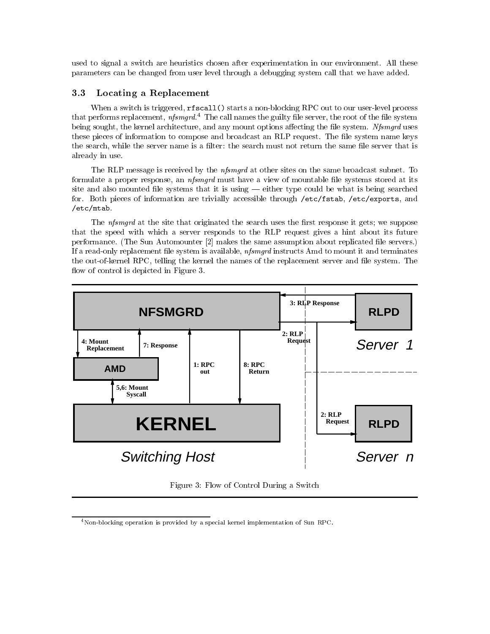used to signal a switch are heuristics chosen after experimentation in our environment. All these parameters can be changed from user level through a debugging system call that we have added.

### 3.3 Locating a Replacement

When a switch is triggered, rfscall() starts a non-blocking RPC out to our user-level process that performs replacement,  $nfsmgrd.4$  The call names the guilty file server, the root of the file system being sought, the kernel architecture, and any mount options affecting the file system. *Nfsmqrd* uses these pieces of information to compose and broadcast an RLP request. The file system name keys the search, while the server name is a filter: the search must not return the same file server that is already in use.

The RLP message is received by the *nfsmgrd* at other sites on the same broadcast subnet. To formulate a proper response, an *nfsmgrd* must have a view of mountable file systems stored at its site and also mounted file systems that it is using — either type could be what is being searched for. Both pieces of information are trivially accessible through /etc/fstab, /etc/exports, and /etc/mtab.

The *nfsmgrd* at the site that originated the search uses the first response it gets; we suppose that the speed with which a server responds to the RLP request gives a hint about its future performance. (The Sun Automounter [2] makes the same assumption about replicated file servers.) If a read-only replacement file system is available, *nfsmqrd* instructs Amd to mount it and terminates the out-of-kernel RPC, telling the kernel the names of the replacement server and file system. The flow of control is depicted in Figure 3.



Figure 3: Flow of Control During a Switch

<sup>&</sup>lt;sup>4</sup> Non-blocking operation is provided by a special kernel implementation of Sun RPC.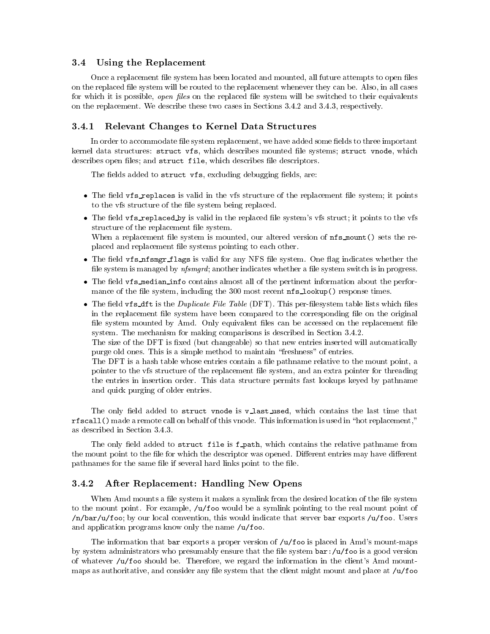### 3.4 Using the Replacement

Once a replacement file system has been located and mounted, all future attempts to open files on the replaced le system will be routed to the replacement whenever they can be. Also, in all cases for which it is possible, *open files* on the replaced file system will be switched to their equivalents on the replacement. We describe these two cases in Sections 3.4.2 and 3.4.3, respectively.

### 3.4.1 Relevant Changes to Kernel Data Structures

In order to accommodate file system replacement, we have added some fields to three important kernel data structures: struct vfs, which describes mounted le systems; struct vnode, which describes open files; and struct file, which describes file descriptors.

The fields added to struct vfs, excluding debugging fields, are:

- The eld vfs replaces is valid in the vfs structure of the replacement le system; it points to the vfs structure of the file system being replaced.
- The field  $\mathsf{vfs\_replaced\_by}$  is valid in the replaced file system's vfs struct; it points to the vfs structure of the replacement file system.

When a replacement file system is mounted, our altered version of  $\texttt{nf} s_{\texttt{amount}}(t)$  sets the replaced and replacement file systems pointing to each other.

- The mass is the signal flags is valid for any NFS  $\mu$  and  $\mu$  and  $\mu$  and  $\mu$  and  $\mu$  and  $\mu$ file system is managed by *nfsmgrd*; another indicates whether a file system switch is in progress.
- The eld vfs median info contains almost all of the pertinent information about the performance of the file system, including the 300 most recent  $\text{nfs\_lookup}()$  response times.
- The distribution of the Duplicate  $\frac{1}{n}$  is the Duplicate  $\frac{1}{n}$  and  $\frac{1}{n}$  is the contract of the distribution of  $\frac{1}{n}$ in the replacement file system have been compared to the corresponding file on the original file system mounted by Amd. Only equivalent files can be accessed on the replacement file system. The mechanism for making comparisons is described in Section 3.4.2.

The size of the DFT is fixed (but changeable) so that new entries inserted will automatically purge old ones. This is a simple method to maintain \freshness" of entries.

The DFT is a hash table whose entries contain a file pathname relative to the mount point, a pointer to the vfs structure of the replacement le system, and an extra pointer for threading the entries in insertion order. This data structure permits fast lookups keyed by pathname and quick purging of older entries.

The only field added to struct vnode is v\_last\_used, which contains the last time that rfscall () made a remote call on behalf of this vnode. This information is used in "hot replacement," as described in Section 3.4.3.

The only field added to struct file is f\_path, which contains the relative pathname from the mount point to the file for which the descriptor was opened. Different entries may have different pathnames for the same file if several hard links point to the file.

### 3.4.2 After Replacement: Handling New Opens

When Amd mounts a file system it makes a symlink from the desired location of the file system to the mount point. For example,  $/u$  foo would be a symlink pointing to the real mount point of  $/n/bar/u$  (roo; by our local convention, this would indicate that server bar exports /u/foo. Users and application programs know only the name /u/foo.

The information that bar exports a proper version of  $/u$  foo is placed in Amd's mount-maps by system administrators who presumably ensure that the file system  $bar: /u/f$ oo is a good version of whatever /u/foo should be. Therefore, we regard the information in the client's Amd mountmaps as authoritative, and consider any file system that the client might mount and place at  $/\mathfrak{u}/\mathfrak{f}$ oo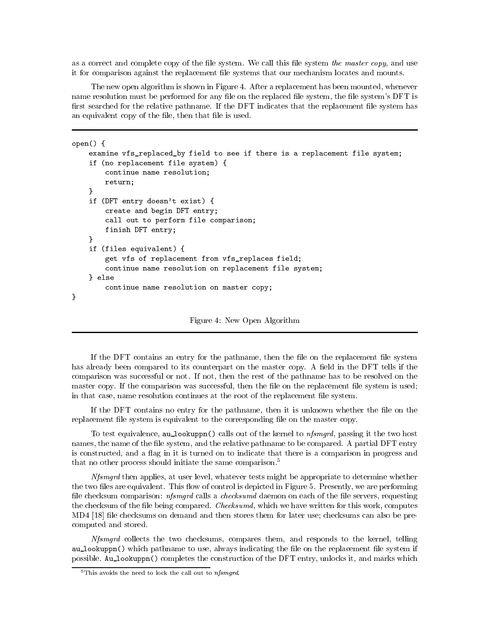as a correct and complete copy of the file system. We call this file system the master copy, and use it for comparison against the replacement le systems that our mechanism locates and mounts.

The new open algorithm is shown in Figure 4. After a replacement has been mounted, whenever name resolution must be performed for any file on the replaced file system, the file system's DFT is first searched for the relative pathname. If the DFT indicates that the replacement file system has an equivalent copy of the file, then that file is used.

```
open() {
```

```
examine vfs_replaced_by field to see if there is a replacement file system;
     if (no replacement file system) {
           continue name resolution;
           return;
     \mathcal{F}\overline{a} . The contract of the contract of the contract of the contract of the contract of the contract of the contract of the contract of the contract of the contract of the contract of the contract of the contract of th
     if (DFT entry doesn't exist) {
           create and begin DFT entry;
           call out to perform file comparison;
           finish DFT entry;
      }
     if (files equivalent) {
           get vfs of replacement from vfs_replaces field;
           continue name resolution on replacement file system;
     } else
            continue name resolution on master copy;
Y
}
```
Figure 4: New Open Algorithm

If the DFT contains an entry for the pathname, then the file on the replacement file system has already been compared to its counterpart on the master copy. A field in the DFT tells if the comparison was successful or not. If not, then the rest of the pathname has to be resolved on the master copy. If the comparison was successful, then the file on the replacement file system is used; in that case, name resolution continues at the root of the replacement file system.

If the DFT contains no entry for the pathname, then it is unknown whether the file on the replacement file system is equivalent to the corresponding file on the master copy.

To test equivalence, au lookuppn() calls out of the kernel to  $nfsmgrd$ , passing it the two host names, the name of the file system, and the relative pathname to be compared. A partial DFT entry is constructed, and a flag in it is turned on to indicate that there is a comparison in progress and that no other process should initiate the same comparison.<sup>5</sup>

Nfsmgrd then applies, at user level, whatever tests might be appropriate to determine whether the two files are equivalent. This flow of control is depicted in Figure 5. Presently, we are performing file checksum comparison: *nfsmgrd* calls a *checksumd* daemon on each of the file servers, requesting the checksum of the file being compared. *Checksumd*, which we have written for this work, computes MD4 [18] file checksums on demand and then stores them for later use; checksums can also be precomputed and stored.

Nfsmgrd collects the two checksums, compares them, and responds to the kernel, telling au\_lookuppn() which pathname to use, always indicating the file on the replacement file system if possible. Au lookuppn() completes the construction of the DFT entry, unlocks it, and marks which

 $5$ This avoids the need to lock the call out to *nfsmgrd*.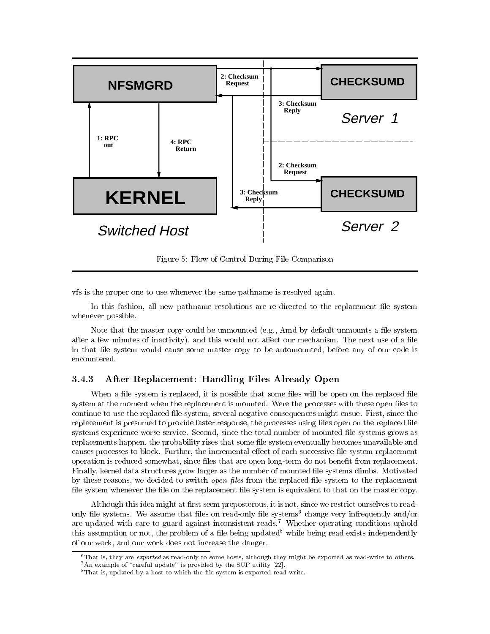

Figure 5: Flow of Control During File Comparison

vfs is the proper one to use whenever the same pathname is resolved again.

In this fashion, all new pathname resolutions are re-directed to the replacement le system whenever possible.

Note that the master copy could be unmounted (e.g., Amd by default unmounts a file system after a few minutes of inactivity), and this would not affect our mechanism. The next use of a file in that file system would cause some master copy to be automounted, before any of our code is encountered.

### After Replacement: Handling Files Already Open 3.4.3

When a file system is replaced, it is possible that some files will be open on the replaced file system at the moment when the replacement is mounted. Were the processes with these open files to continue to use the replaced file system, several negative consequences might ensue. First, since the replacement is presumed to provide faster response, the processes using files open on the replaced file systems experience worse service. Second, since the total number of mounted file systems grows as replacements happen, the probability rises that some file system eventually becomes unavailable and causes processes to block. Further, the incremental effect of each successive file system replacement operation is reduced somewhat, since files that are open long-term do not benefit from replacement. Finally, kernel data structures grow larger as the number of mounted le systems climbs. Motivated by these reasons, we decided to switch *open files* from the replaced file system to the replacement file system whenever the file on the replacement file system is equivalent to that on the master copy.

Although this idea might at first seem preposterous, it is not, since we restrict ourselves to readonly file systems. We assume that files on read-only file systems<sup>6</sup> change very infrequently and/or are updated with care to guard against inconsistent reads.<sup>7</sup> Whether operating conditions uphold this assumption or not, the problem of a file being updated<sup>8</sup> while being read exists independently of our work, and our work does not increase the danger.

 $6$ That is, they are *exported* as read-only to some hosts, although they might be exported as read-write to others.  $7$  An example of "careful update" is provided by the SUP utility [22].

 $8$ That is, updated by a host to which the file system is exported read-write.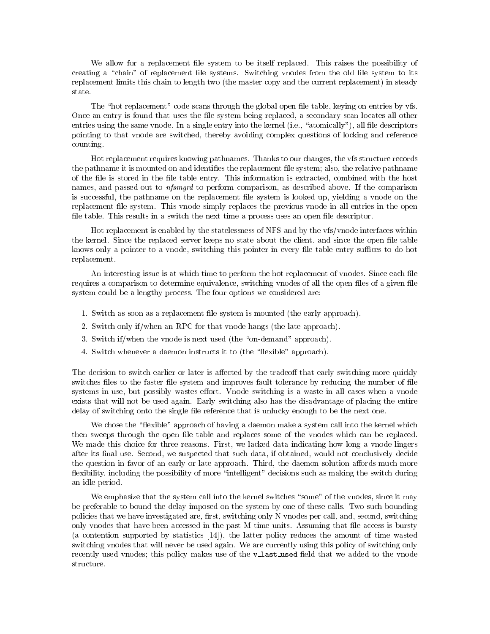We allow for a replacement file system to be itself replaced. This raises the possibility of creating a "chain" of replacement file systems. Switching vnodes from the old file system to its replacement limits this chain to length two (the master copy and the current replacement) in steady state.

The "hot replacement" code scans through the global open file table, keying on entries by vfs. Once an entry is found that uses the file system being replaced, a secondary scan locates all other entries using the same vnode. In a single entry into the kernel  $(i.e., "atomically"), all file descriptors$ pointing to that vnode are switched, thereby avoiding complex questions of locking and reference  $\sim$  counting.

Hot replacement requires knowing pathnames. Thanks to our changes, the vfs structure records the pathname it is mounted on and identifies the replacement file system; also, the relative pathname of the file is stored in the file table entry. This information is extracted, combined with the host names, and passed out to *nfsmgrd* to perform comparison, as described above. If the comparison is successful, the pathname on the replacement le system is looked up, yielding a vnode on the replacement file system. This vnode simply replaces the previous vnode in all entries in the open file table. This results in a switch the next time a process uses an open file descriptor.

Hot replacement is enabled by the statelessness of NFS and by the vfs/vnode interfaces within the kernel. Since the replaced server keeps no state about the client, and since the open file table knows only a pointer to a vnode, switching this pointer in every file table entry suffices to do hot replacement.

An interesting issue is at which time to perform the hot replacement of vnodes. Since each file requires a comparison to determine equivalence, switching vnodes of all the open files of a given file system could be a lengthy process. The four options we considered are:

- 1. Switch as soon as a replacement file system is mounted (the early approach).
- 2. Switch only if/when an RPC for that vnode hangs (the late approach).
- 3. Switch if/when the vnode is next used (the "on-demand" approach).
- 4. Switch whenever a daemon instructs it to (the "flexible" approach).

The decision to switch earlier or later is affected by the tradeoff that early switching more quickly switches files to the faster file system and improves fault tolerance by reducing the number of file systems in use, but possibly wastes effort. Vnode switching is a waste in all cases when a vnode exists that will not be used again. Early switching also has the disadvantage of placing the entire delay of switching onto the single file reference that is unlucky enough to be the next one.

We chose the "flexible" approach of having a daemon make a system call into the kernel which then sweeps through the open file table and replaces some of the vnodes which can be replaced. We made this choice for three reasons. First, we lacked data indicating how long a vnode lingers after its final use. Second, we suspected that such data, if obtained, would not conclusively decide the question in favor of an early or late approach. Third, the daemon solution affords much more flexibility, including the possibility of more "intelligent" decisions such as making the switch during an idle period.

We emphasize that the system call into the kernel switches "some" of the vnodes, since it may be preferable to bound the delay imposed on the system by one of these calls. Two such bounding policies that we have investigated are, first, switching only N vnodes per call, and, second, switching only vnodes that have been accessed in the past M time units. Assuming that le access is bursty (a contention supported by statistics [14]), the latter policy reduces the amount of time wasted switching vnodes that will never be used again. We are currently using this policy of switching only recently used vnodes; this policy makes use of the v\_last\_used field that we added to the vnode structure.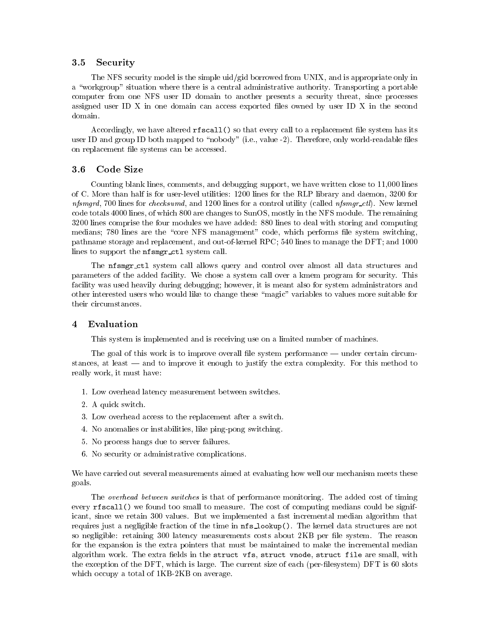## 3.5 Security

The NFS security model is the simple uid/gid borrowed from UNIX, and is appropriate only in a "workgroup" situation where there is a central administrative authority. Transporting a portable computer from one NFS user ID domain to another presents a security threat, since processes assigned user ID X in one domain can access exported les owned by user ID X in the second domain.

Accordingly, we have altered rfscall() so that every call to a replacement le system has its user ID and group ID both mapped to "nobody" (i.e., value -2). Therefore, only world-readable files on replacement le systems can be accessed.

### Code Size  $3.6$

Counting blank lines, comments, and debugging support, we have written close to 11,000 lines of C. More than half is for user-level utilities: 1200 lines for the RLP library and daemon, 3200 for nfsmard, 700 lines for *checksumd*, and 1200 lines for a control utility (called *nfsmar\_ctl*). New kernel code totals 4000 lines, of which 800 are changes to SunOS, mostly in the NFS module. The remaining 3200 lines comprise the four modules we have added: 880 lines to deal with storing and computing medians; 780 lines are the "core NFS management" code, which performs file system switching, pathname storage and replacement, and out-of-kernel RPC; 540 lines to manage the DFT; and 1000 lines to support the nfsmgr\_ctl system call.

The nfsmgr\_ctl system call allows query and control over almost all data structures and parameters of the added facility. We chose a system call over a kmem program for security. This facility was used heavily during debugging; however, it is meant also for system administrators and other interested users who would like to change these "magic" variables to values more suitable for their circumstances.

#### $\overline{\mathbf{4}}$ Evaluation

This system is implemented and is receiving use on a limited number of machines.

The goal of this work is to improve overall file system performance — under certain circumstances, at least  $-$  and to improve it enough to justify the extra complexity. For this method to really work, it must have:

- 1. Low overhead latency measurement between switches.
- 2. A quick switch.
- 3. Low overhead access to the replacement after a switch.
- 4. No anomalies or instabilities, like ping-pong switching.
- 5. No process hangs due to server failures.
- 6. No security or administrative complications.

We have carried out several measurements aimed at evaluating how well our mechanism meets these goals.

The overhead between switches is that of performance monitoring. The added cost of timing every rfscall() we found too small to measure. The cost of computing medians could be significant, since we retain 300 values. But we implemented a fast incremental median algorithm that requires just a negligible fraction of the time in nfs lookup(). The kernel data structures are not so negligible: retaining 300 latency measurements costs about 2KB per file system. The reason for the expansion is the extra pointers that must be maintained to make the incremental median algorithm work. The extra fields in the struct vfs, struct vnode, struct file are small, with the exception of the DFT, which is large. The current size of each (per-lesystem) DFT is 60 slots which occupy a total of  $1KB-2KB$  on average.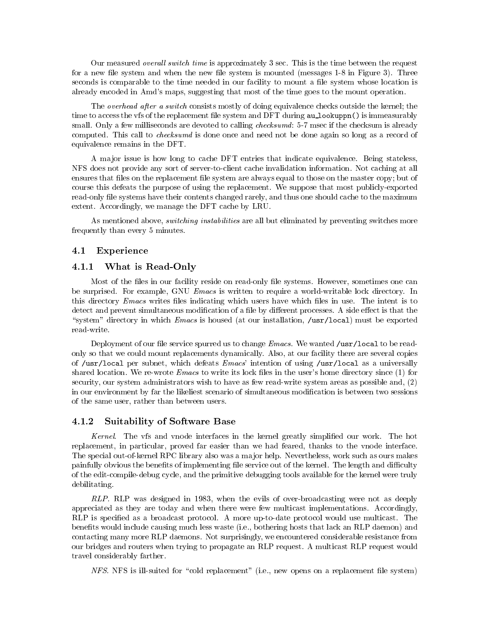Our measured *overall switch time* is approximately 3 sec. This is the time between the request for a new file system and when the new file system is mounted (messages  $1-8$  in Figure 3). Three seconds is comparable to the time needed in our facility to mount a file system whose location is already encoded in Amd's maps, suggesting that most of the time goes to the mount operation.

The overhead after a switch consists mostly of doing equivalence checks outside the kernel; the time to access the vfs of the replacement file system and DFT during au\_lookuppn() is immeasurably small. Only a few milliseconds are devoted to calling *checksumd*: 5-7 msec if the checksum is already computed. This call to checksumd is done once and need not be done again so long as a record of equivalence remains in the DFT.

A ma jor issue is how long to cache DFT entries that indicate equivalence. Being stateless, NFS does not provide any sort of server-to-client cache invalidation information. Not caching at all ensures that files on the replacement file system are always equal to those on the master copy; but of course this defeats the purpose of using the replacement. We suppose that most publicly-exported read-only file systems have their contents changed rarely, and thus one should cache to the maximum extent. Accordingly, we manage the DFT cache by LRU.

As mentioned above, *switching instabilities* are all but eliminated by preventing switches more frequently than every 5 minutes.

## 4.1 Experience

### 4.1.1 What is Read-Only

Most of the files in our facility reside on read-only file systems. However, sometimes one can be surprised. For example, GNU *Emacs* is written to require a world-writable lock directory. In this directory *Emacs* writes files indicating which users have which files in use. The intent is to detect and prevent simultaneous modification of a file by different processes. A side effect is that the "system" directory in which Emacs is housed (at our installation, /usr/local) must be exported read-write.

Deployment of our file service spurred us to change *Emacs*. We wanted /usr/local to be readonly so that we could mount replacements dynamically. Also, at our facility there are several copies of /usr/local per subnet, which defeats  $Emacs'$  intention of using /usr/local as a universally shared location. We re-wrote  $Emacs$  to write its lock files in the user's home directory since (1) for security, our system administrators wish to have as few read-write system areas as possible and, (2) in our environment by far the likeliest scenario of simultaneous modication is between two sessions of the same user, rather than between users.

### 4.1.2 Suitability of Software Base

Kernel. The vfs and vnode interfaces in the kernel greatly simplified our work. The hot replacement, in particular, proved far easier than we had feared, thanks to the vnode interface. The special out-of-kernel RPC library also was a major help. Nevertheless, work such as ours makes painfully obvious the benefits of implementing file service out of the kernel. The length and difficulty of the edit-compile-debug cycle, and the primitive debugging tools available for the kernel were truly debilitating.

RLP. RLP was designed in 1983, when the evils of over-broadcasting were not as deeply appreciated as they are today and when there were few multicast implementations. Accordingly, RLP is specied as a broadcast protocol. A more up-to-date protocol would use multicast. The benefits would include causing much less waste (i.e., bothering hosts that lack an RLP daemon) and contacting many more RLP daemons. Not surprisingly, we encountered considerable resistance from our bridges and routers when trying to propagate an RLP request. A multicast RLP request would travel considerably farther.

 $NFS$ . NFS is ill-suited for "cold replacement" (i.e., new opens on a replacement file system)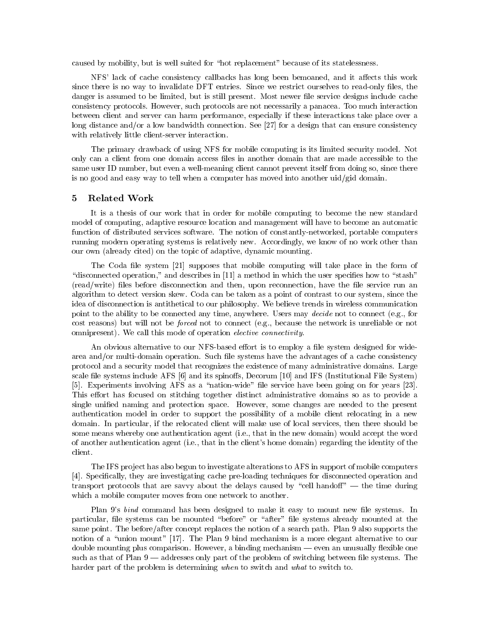caused by mobility, but is well suited for \hot replacement" because of its statelessness.

NFS' lack of cache consistency callbacks has long been bemoaned, and it affects this work since there is no way to invalidate DFT entries. Since we restrict ourselves to read-only files, the danger is assumed to be limited, but is still present. Most newer file service designs include cache consistency protocols. However, such protocols are not necessarily a panacea. Too much interaction between client and server can harm performance, especially if these interactions take place over a long distance and/or a low bandwidth connection. See [27] for a design that can ensure consistency with relatively little client-server interaction.

The primary drawback of using NFS for mobile computing is its limited security model. Not only can a client from one domain access les in another domain that are made accessible to the same user ID number, but even a well-meaning client cannot prevent itself from doing so, since there is no good and easy way to tell when a computer has moved into another uid/gid domain.

#### 5 Related Work 5

It is a thesis of our work that in order for mobile computing to become the new standard model of computing, adaptive resource location and management will have to become an automatic function of distributed services software. The notion of constantly-networked, portable computers running modern operating systems is relatively new. Accordingly, we know of no work other than our own (already cited) on the topic of adaptive, dynamic mounting.

The Coda file system [21] supposes that mobile computing will take place in the form of "disconnected operation," and describes in  $[11]$  a method in which the user specifies how to "stash" (read/write) files before disconnection and then, upon reconnection, have the file service run an algorithm to detect version skew. Coda can be taken as a point of contrast to our system, since the idea of disconnection is antithetical to our philosophy. We believe trends in wireless communication point to the ability to be connected any time, anywhere. Users may *decide* not to connect (e.g., for cost reasons) but will not be forced not to connect (e.g., because the network is unreliable or not omnipresent). We call this mode of operation *elective connectivity*.

An obvious alternative to our NFS-based effort is to employ a file system designed for widearea and/or multi-domain operation. Such file systems have the advantages of a cache consistency protocol and a security model that recognizes the existence of many administrative domains. Large scale file systems include AFS [6] and its spinoffs, Decorum [10] and IFS (Institutional File System) [5]. Experiments involving AFS as a "nation-wide" file service have been going on for years [23]. This effort has focused on stitching together distinct administrative domains so as to provide a single unified naming and protection space. However, some changes are needed to the present authentication model in order to support the possibility of a mobile client relocating in a new domain. In particular, if the relocated client will make use of local services, then there should be some means whereby one authentication agent (i.e., that in the new domain) would accept the word of another authentication agent (i.e., that in the client's home domain) regarding the identity of the client.

The IFS project has also begun to investigate alterations to AFS in support of mobile computers [4]. Specically, they are investigating cache pre-loading techniques for disconnected operation and transport protocols that are savvy about the delays caused by "cell handoff"  $-$  the time during which a mobile computer moves from one network to another.

Plan 9's bind command has been designed to make it easy to mount new file systems. In particular, file systems can be mounted "before" or "after" file systems already mounted at the same point. The before/after concept replaces the notion of a search path. Plan 9 also supports the notion of a "union mount" [17]. The Plan 9 bind mechanism is a more elegant alternative to our double mounting plus comparison. However, a binding mechanism  $-$  even an unusually flexible one such as that of Plan 9 — addresses only part of the problem of switching between file systems. The harder part of the problem is determining when to switch and what to switch to.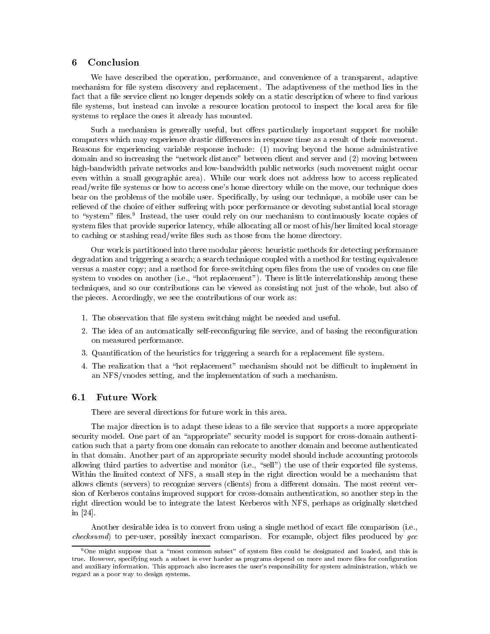### 6 **Conclusion**

We have described the operation, performance, and convenience of a transparent, adaptive mechanism for file system discovery and replacement. The adaptiveness of the method lies in the fact that a file service client no longer depends solely on a static description of where to find various file systems, but instead can invoke a resource location protocol to inspect the local area for file systems to replace the ones it already has mounted.

Such a mechanism is generally useful, but offers particularly important support for mobile computers which may experience drastic differences in response time as a result of their movement. Reasons for experiencing variable response include: (1) moving beyond the home administrative domain and so increasing the "network distance" between client and server and (2) moving between high-bandwidth private networks and low-bandwidth public networks (such movement might occur even within a small geographic area). While our work does not address how to access replicated read/write file systems or how to access one's home directory while on the move, our technique does bear on the problems of the mobile user. Specifically, by using our technique, a mobile user can be relieved of the choice of either suffering with poor performance or devoting substantial local storage to system thes." Instead, the user could rely on our mechanism to continuously locate copies of system files that provide superior latency, while allocating all or most of his/her limited local storage to caching or stashing read/write files such as those from the home directory.

Our work is partitioned into three modular pieces: heuristic methods for detecting performance degradation and triggering a search; a search technique coupled with a method for testing equivalence versus a master copy; and a method for force-switching open files from the use of vnodes on one file system to vnodes on another (i.e., "hot replacement"). There is little interrelationship among these techniques, and so our contributions can be viewed as consisting not just of the whole, but also of the pieces. Accordingly, we see the contributions of our work as:

- 1. The observation that le system switching might be needed and useful.
- 2. The idea of an automatically self-reconfiguring file service, and of basing the reconfiguration on measured performance.
- 3. Quantification of the heuristics for triggering a search for a replacement file system.
- 4. The realization that a "hot replacement" mechanism should not be difficult to implement in an NFS/vnodes setting, and the implementation of such a mechanism.

The major direction is to adapt these ideas to a file service that supports a more appropriate security model. One part of an "appropriate" security model is support for cross-domain authentication such that a party from one domain can relocate to another domain and become authenticated in that domain. Another part of an appropriate security model should include accounting protocols allowing third parties to advertise and monitor (i.e., "sell") the use of their exported file systems. Within the limited context of NFS, a small step in the right direction would be a mechanism that allows clients (servers) to recognize servers (clients) from a different domain. The most recent version of Kerberos contains improved support for cross-domain authentication, so another step in the right direction would be to integrate the latest Kerberos with NFS, perhaps as originally sketched in [24].

Another desirable idea is to convert from using a single method of exact le comparison (i.e.,  $\mathit{checksumd}$  to per-user, possibly inexact comparison. For example, object files produced by  $\mathit{acc}$ 

 $9$ One might suppose that a "most common subset" of system files could be designated and loaded, and this is true. However, specifying such a subset is ever harder as programs depend on more and more files for configuration and auxiliary information. This approach also increases the user's responsibility for system administration, which we regard as a poor way to design systems.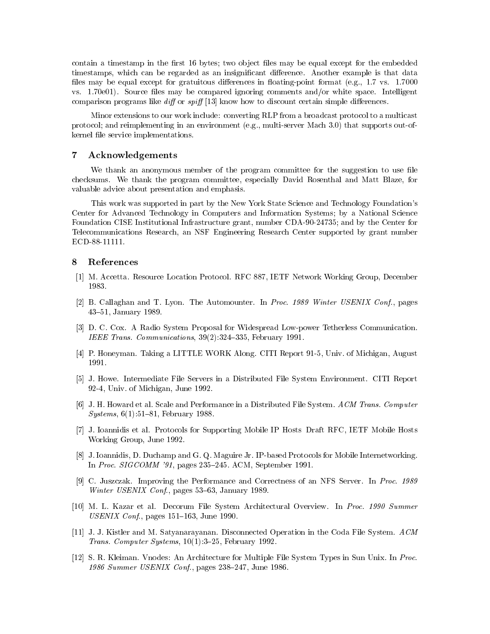contain a timestamp in the first 16 bytes; two object files may be equal except for the embedded timestamps, which can be regarded as an insignificant difference. Another example is that data files may be equal except for gratuitous differences in floating-point format (e.g., 1.7 vs. 1.7000) vs.  $1.70e01$ ). Source files may be compared ignoring comments and/or white space. Intelligent comparison programs like diff or spiff  $[13]$  know how to discount certain simple differences.

Minor extensions to our work include: converting RLP from a broadcast protocol to a multicast protocol; and reimplementing in an environment (e.g., multi-server Mach 3.0) that supports out-ofkernel file service implementations.

### 7 Acknowledgements

We thank an anonymous member of the program committee for the suggestion to use file checksums. We thank the program committee, especially David Rosenthal and Matt Blaze, for valuable advice about presentation and emphasis.

This work was supported in part by the New York State Science and Technology Foundation's Center for Advanced Technology in Computers and Information Systems; by a National Science Foundation CISE Institutional Infrastructure grant, number CDA-90-24735; and by the Center for Telecommunications Research, an NSF Engineering Research Center supported by grant number ECD-88-11111.

#### **References** 8

- [1] M. Accetta. Resource Location Protocol. RFC 887, IETF Network Working Group, December 1983.
- [2] B. Callaghan and T. Lyon. The Automounter. In Proc. 1989 Winter USENIX Conf., pages 43-51, January 1989.
- [3] D. C. Cox. A Radio System Proposal for Widespread Low-power Tetherless Communication. IEEE Trans. Communications,  $39(2):324-335$ , February 1991.
- [4] P. Honeyman. Taking a LITTLE WORK Along. CITI Report 91-5, Univ. of Michigan, August
- [5] J. Howe. Intermediate File Servers in a Distributed File System Environment. CITI Report 92-4, Univ. of Michigan, June 1992.
- [6] J. H. Howard et al. Scale and Performance in a Distributed File System. ACM Trans. Computer  $Systems, 6(1):51–81, February 1988.$
- [7] J. Ioannidis et al. Protocols for Supporting Mobile IP Hosts Draft RFC, IETF Mobile Hosts Working Group, June 1992.
- [8] J. Ioannidis, D. Duchamp and G. Q. Maguire Jr. IP-based Protocols for Mobile Internetworking. In Proc.  $SIGCOMM$  '91, pages 235-245. ACM, September 1991.
- [9] C. Juszczak. Improving the Performance and Correctness of an NFS Server. In Proc. 1989 Winter USENIX Conf., pages  $53-63$ , January 1989.
- [10] M. L. Kazar et al. Decorum File System Architectural Overview. In Proc. 1990 Summer  $USENIX$  Conf., pages 151-163, June 1990.
- [11] J. J. Kistler and M. Satyanarayanan. Disconnected Operation in the Coda File System. ACM Trans. Computer Systems,  $10(1):3-25$ , February 1992.
- [12] S. R. Kleiman. Vnodes: An Architecture for Multiple File System Types in Sun Unix. In Proc. 1986 Summer USENIX Conf., pages  $238-247$ , June 1986.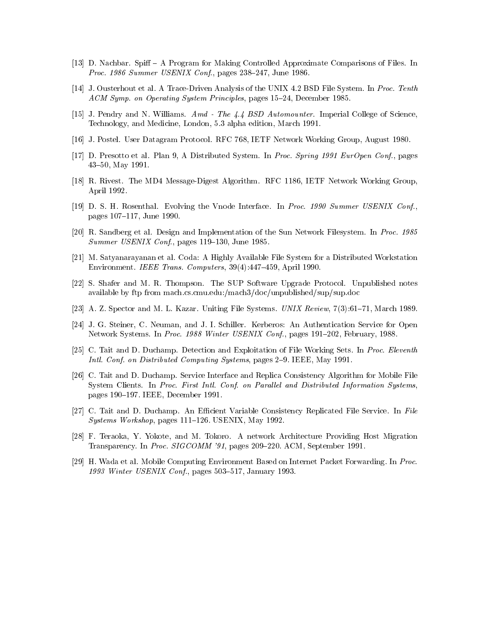- [13] D. Nachbar. Spiff A Program for Making Controlled Approximate Comparisons of Files. In Proc. 1986 Summer USENIX Conf., pages  $238-247$ , June 1986.
- [14] J. Ousterhout et al. A Trace-Driven Analysis of the UNIX 4.2 BSD File System. In Proc. Tenth ACM Symp. on Operating System Principles, pages 15-24, December 1985.
- [15] J. Pendry and N. Williams. Amd The 4.4 BSD Automounter. Imperial College of Science, Technology, and Medicine, London, 5.3 alpha edition, March 1991.
- [16] J. Postel. User Datagram Protocol. RFC 768, IETF Network Working Group, August 1980.
- [17] D. Presotto et al. Plan 9, A Distributed System. In Proc. Spring 1991 EurOpen Conf., pages 43-50, May 1991.
- [18] R. Rivest. The MD4 Message-Digest Algorithm. RFC 1186, IETF Network Working Group, April 1992.
- [19] D. S. H. Rosenthal. Evolving the Vnode Interface. In Proc. 1990 Summer USENIX Conf., pages 107-117, June 1990.
- [20] R. Sandberg et al. Design and Implementation of the Sun Network Filesystem. In Proc. 1985 Summer USENIX Conf., pages  $119-130$ , June 1985.
- [21] M. Satyanarayanan et al. Coda: A Highly Available File System for a Distributed Workstation Environment. IEEE Trans. Computers,  $39(4):447-459$ , April 1990.
- [22] S. Shafer and M. R. Thompson. The SUP Software Upgrade Protocol. Unpublished notes available by ftp from mach.cs.cmu.edu:/mach3/doc/unpublished/sup/sup.doc
- [23] A. Z. Spector and M. L. Kazar. Uniting File Systems. UNIX Review, 7(3):61-71, March 1989.
- [24] J. G. Steiner, C. Neuman, and J. I. Schiller. Kerberos: An Authentication Service for Open Network Systems. In Proc. 1988 Winter USENIX Conf., pages 191-202, February, 1988.
- [25] C. Tait and D. Duchamp. Detection and Exploitation of File Working Sets. In Proc. Eleventh Intl. Conf. on Distributed Computing Systems, pages 2–9. IEEE, May 1991.
- [26] C. Tait and D. Duchamp. Service Interface and Replica Consistency Algorithm for Mobile File System Clients. In Proc. First Intl. Conf. on Parallel and Distributed Information Systems, pages 190–197. IEEE, December 1991.
- [27] C. Tait and D. Duchamp. An Efficient Variable Consistency Replicated File Service. In File  $Systems Workshop, pages 111–126. *USENIX, May 1992*.$
- [28] F. Teraoka, Y. Yokote, and M. Tokoro. A network Architecture Providing Host Migration Transparency. In Proc. SIGCOMM '91, pages 209-220. ACM, September 1991.
- [29] H. Wada et al. Mobile Computing Environment Based on Internet Packet Forwarding. In Proc. 1993 Winter USENIX Conf., pages  $503-517$ , January 1993.